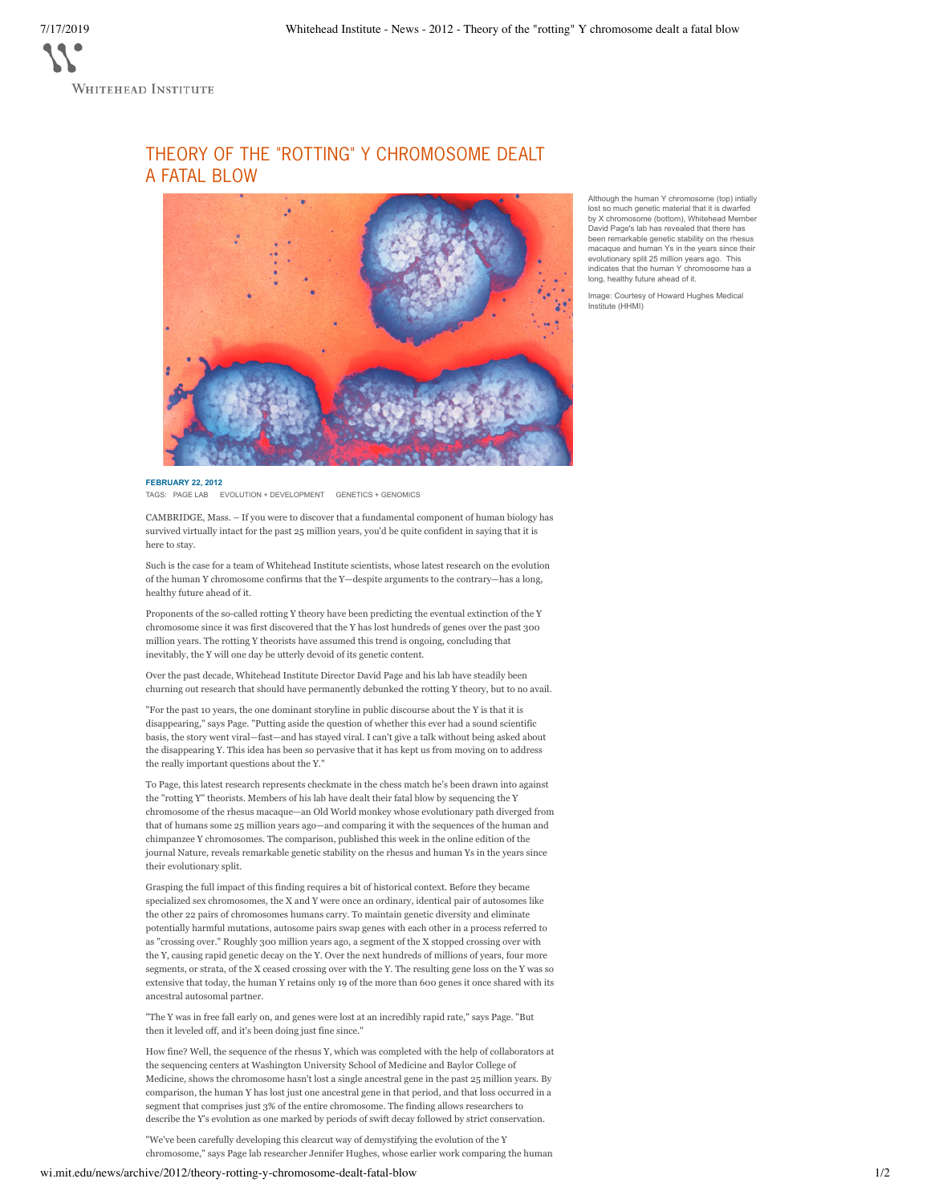THEORY OF THE "ROTTING" Y CHROMOSOME DEALT A FATAL BLOW



Although the human Y chromosome (top) intially lost so much genetic material that it is dwarfed by X chromosome (bottom), Whitehead Member David Page's lab has revealed that there has been remarkable genetic stability on the rhesus macaque and human Ys in the years since their evolutionary split 25 million years ago. This indicates that the human Y chromosome has a long, healthy future ahead of it.

Image: Courtesy of Howard Hughes Medical Institute (HHMI)

**FEBRUARY 22, 2012** TAGS: PAGE LAB EVOLUTION + DEVELOPMENT GENETICS + GENOMICS

CAMBRIDGE, Mass. – If you were to discover that a fundamental component of human biology has survived virtually intact for the past 25 million years, you'd be quite confident in saying that it is here to stay.

Such is the case for a team of Whitehead Institute scientists, whose latest research on the evolution of the human Y chromosome confirms that the Y—despite arguments to the contrary—has a long, healthy future ahead of it.

Proponents of the so-called rotting Y theory have been predicting the eventual extinction of the Y chromosome since it was first discovered that the Y has lost hundreds of genes over the past 300 million years. The rotting Y theorists have assumed this trend is ongoing, concluding that inevitably, the Y will one day be utterly devoid of its genetic content.

Over the past decade, Whitehead Institute Director David Page and his lab have steadily been churning out research that should have permanently debunked the rotting Y theory, but to no avail.

"For the past 10 years, the one dominant storyline in public discourse about the Y is that it is disappearing," says Page. "Putting aside the question of whether this ever had a sound scientific basis, the story went viral—fast—and has stayed viral. I can't give a talk without being asked about the disappearing Y. This idea has been so pervasive that it has kept us from moving on to address the really important questions about the Y."

To Page, this latest research represents checkmate in the chess match he's been drawn into against the "rotting Y" theorists. Members of his lab have dealt their fatal blow by sequencing the Y chromosome of the rhesus macaque—an Old World monkey whose evolutionary path diverged from that of humans some 25 million years ago—and comparing it with the sequences of the human and chimpanzee Y chromosomes. The comparison, published this week in the online edition of the journal Nature, reveals remarkable genetic stability on the rhesus and human Ys in the years since their evolutionary split.

Grasping the full impact of this finding requires a bit of historical context. Before they became specialized sex chromosomes, the X and Y were once an ordinary, identical pair of autosomes like the other 22 pairs of chromosomes humans carry. To maintain genetic diversity and eliminate potentially harmful mutations, autosome pairs swap genes with each other in a process referred to as "crossing over." Roughly 300 million years ago, a segment of the X stopped crossing over with the Y, causing rapid genetic decay on the Y. Over the next hundreds of millions of years, four more segments, or strata, of the X ceased crossing over with the Y. The resulting gene loss on the Y was so extensive that today, the human Y retains only 19 of the more than 600 genes it once shared with its ancestral autosomal partner.

"The Y was in free fall early on, and genes were lost at an incredibly rapid rate," says Page. "But then it leveled off, and it's been doing just fine since."

How fine? Well, the sequence of the rhesus Y, which was completed with the help of collaborators at the sequencing centers at Washington University School of Medicine and Baylor College of Medicine, shows the chromosome hasn't lost a single ancestral gene in the past 25 million years. By comparison, the human Y has lost just one ancestral gene in that period, and that loss occurred in a segment that comprises just 3% of the entire chromosome. The finding allows researchers to describe the Y's evolution as one marked by periods of swift decay followed by strict conservation.

"We've been carefully developing this clearcut way of demystifying the evolution of the Y chromosome," says Page lab researcher Jennifer Hughes, whose earlier work comparing the human